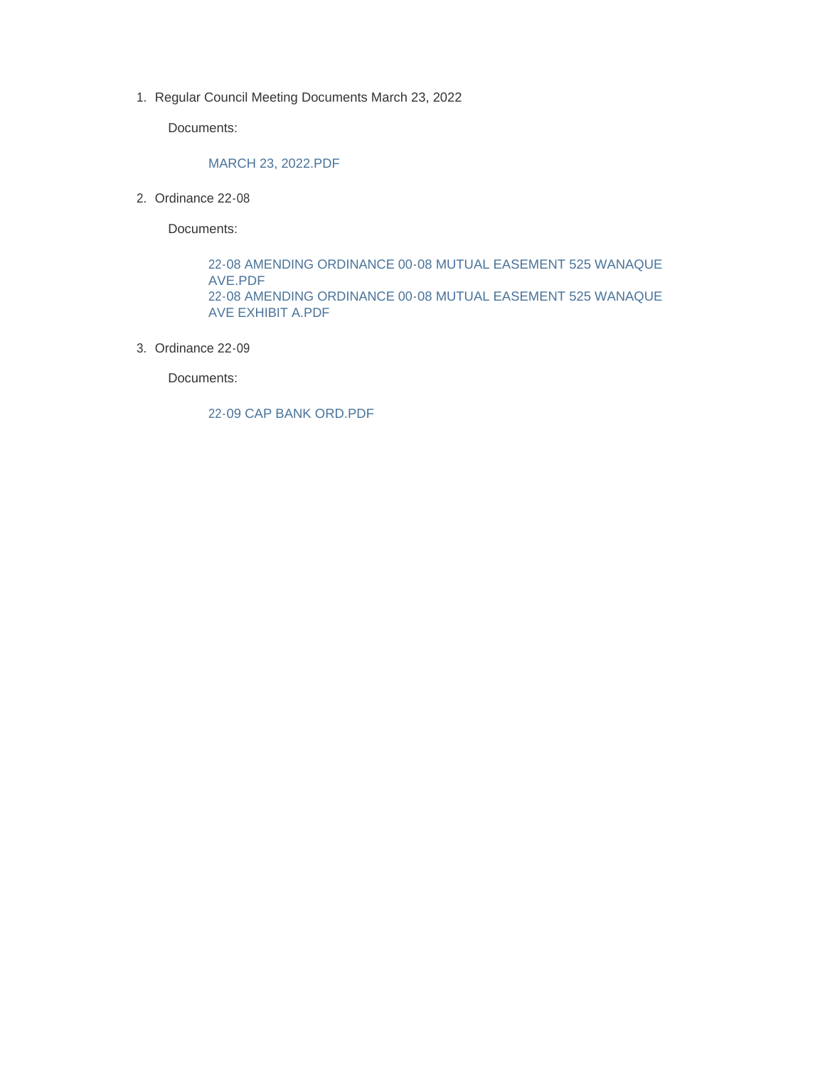1. Regular Council Meeting Documents March 23, 2022

Documents:

#### MARCH 23, 2022.PDF

2. Ordinance 22-08

Documents:

22-08 AMENDING ORDINANCE 00-08 MUTUAL EASEMENT 525 WANAQUE AVE.PDF 22-08 AMENDING ORDINANCE 00-08 MUTUAL EASEMENT 525 WANAQUE AVE EXHIBIT A.PDF

Ordinance 22-09 3.

Documents:

22-09 CAP BANK ORD.PDF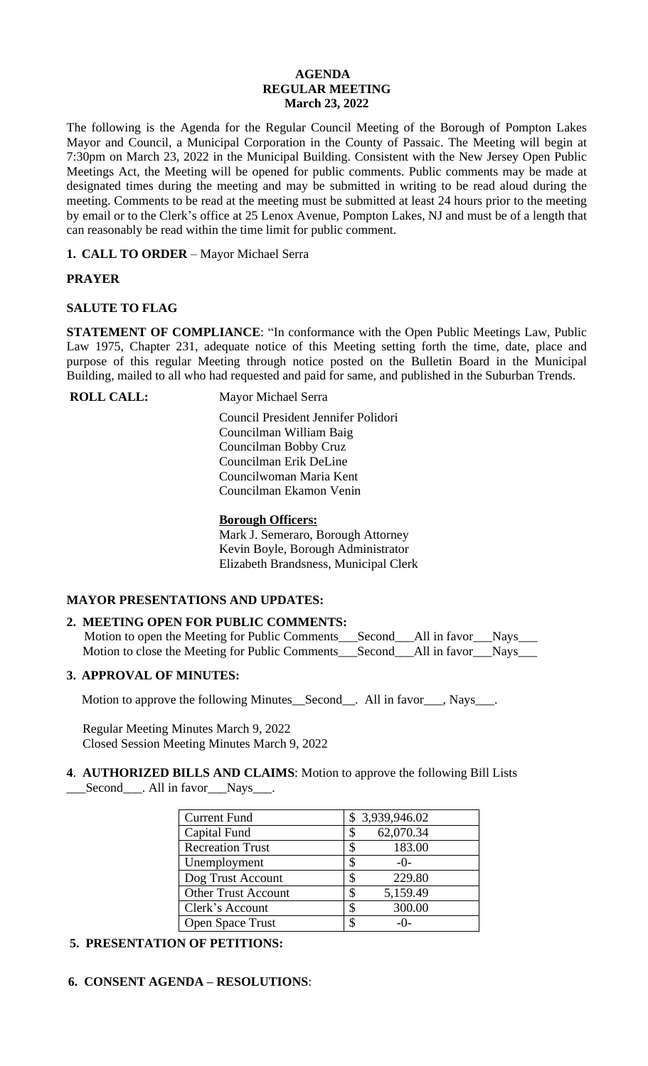## **AGENDA REGULAR MEETING March 23, 2022**

The following is the Agenda for the Regular Council Meeting of the Borough of Pompton Lakes Mayor and Council, a Municipal Corporation in the County of Passaic. The Meeting will begin at 7:30pm on March 23, 2022 in the Municipal Building. Consistent with the New Jersey Open Public Meetings Act, the Meeting will be opened for public comments. Public comments may be made at designated times during the meeting and may be submitted in writing to be read aloud during the meeting. Comments to be read at the meeting must be submitted at least 24 hours prior to the meeting by email or to the Clerk's office at 25 Lenox Avenue, Pompton Lakes, NJ and must be of a length that can reasonably be read within the time limit for public comment.

**1. CALL TO ORDER** – Mayor Michael Serra

# **PRAYER**

# **SALUTE TO FLAG**

**STATEMENT OF COMPLIANCE**: "In conformance with the Open Public Meetings Law, Public Law 1975, Chapter 231, adequate notice of this Meeting setting forth the time, date, place and purpose of this regular Meeting through notice posted on the Bulletin Board in the Municipal Building, mailed to all who had requested and paid for same, and published in the Suburban Trends.

**ROLL CALL:** Mayor Michael Serra

 Council President Jennifer Polidori Councilman William Baig Councilman Bobby Cruz Councilman Erik DeLine Councilwoman Maria Kent Councilman Ekamon Venin

# **Borough Officers:**

Mark J. Semeraro, Borough Attorney Kevin Boyle, Borough Administrator Elizabeth Brandsness, Municipal Clerk

# **MAYOR PRESENTATIONS AND UPDATES:**

# **2. MEETING OPEN FOR PUBLIC COMMENTS:**

Motion to open the Meeting for Public Comments\_\_\_Second\_\_\_All in favor\_\_\_Nays\_\_ Motion to close the Meeting for Public Comments\_\_\_Second\_\_All in favor\_\_Nays\_\_\_

# **3. APPROVAL OF MINUTES:**

Motion to approve the following Minutes\_Second\_\_. All in favor\_\_\_, Nays\_\_\_.

 Regular Meeting Minutes March 9, 2022 Closed Session Meeting Minutes March 9, 2022

**4**. **AUTHORIZED BILLS AND CLAIMS**: Motion to approve the following Bill Lists \_\_\_Second\_\_\_. All in favor\_\_\_Nays\_\_\_.

| <b>Current Fund</b>        | \$3,939,946.02  |
|----------------------------|-----------------|
| Capital Fund               | 62,070.34<br>\$ |
| <b>Recreation Trust</b>    | 183.00<br>\$    |
| Unemployment               | S<br>$-()$      |
| Dog Trust Account          | 229.80<br>\$    |
| <b>Other Trust Account</b> | 5,159.49<br>S   |
| Clerk's Account            | 300.00<br>S     |
| Open Space Trust           | -()-            |

# **5. PRESENTATION OF PETITIONS:**

 **6. CONSENT AGENDA – RESOLUTIONS**: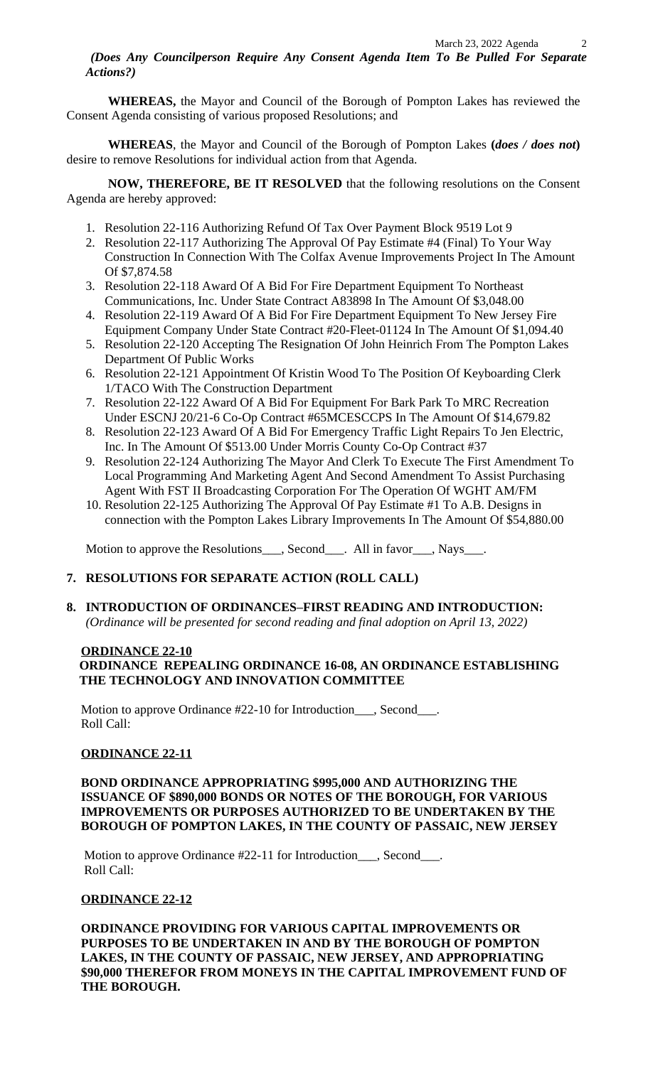*(Does Any Councilperson Require Any Consent Agenda Item To Be Pulled For Separate Actions?)*

**WHEREAS,** the Mayor and Council of the Borough of Pompton Lakes has reviewed the Consent Agenda consisting of various proposed Resolutions; and

**WHEREAS**, the Mayor and Council of the Borough of Pompton Lakes **(***does / does not***)** desire to remove Resolutions for individual action from that Agenda.

**NOW, THEREFORE, BE IT RESOLVED** that the following resolutions on the Consent Agenda are hereby approved:

- 1. Resolution 22-116 Authorizing Refund Of Tax Over Payment Block 9519 Lot 9
- 2. Resolution 22-117 Authorizing The Approval Of Pay Estimate #4 (Final) To Your Way Construction In Connection With The Colfax Avenue Improvements Project In The Amount Of \$7,874.58
- 3. Resolution 22-118 Award Of A Bid For Fire Department Equipment To Northeast Communications, Inc. Under State Contract A83898 In The Amount Of \$3,048.00
- 4. Resolution 22-119 Award Of A Bid For Fire Department Equipment To New Jersey Fire Equipment Company Under State Contract #20-Fleet-01124 In The Amount Of \$1,094.40
- 5. Resolution 22-120 Accepting The Resignation Of John Heinrich From The Pompton Lakes Department Of Public Works
- 6. Resolution 22-121 Appointment Of Kristin Wood To The Position Of Keyboarding Clerk 1/TACO With The Construction Department
- 7. Resolution 22-122 Award Of A Bid For Equipment For Bark Park To MRC Recreation Under ESCNJ 20/21-6 Co-Op Contract #65MCESCCPS In The Amount Of \$14,679.82
- 8. Resolution 22-123 Award Of A Bid For Emergency Traffic Light Repairs To Jen Electric, Inc. In The Amount Of \$513.00 Under Morris County Co-Op Contract #37
- 9. Resolution 22-124 Authorizing The Mayor And Clerk To Execute The First Amendment To Local Programming And Marketing Agent And Second Amendment To Assist Purchasing Agent With FST II Broadcasting Corporation For The Operation Of WGHT AM/FM
- 10. Resolution 22-125 Authorizing The Approval Of Pay Estimate #1 To A.B. Designs in connection with the Pompton Lakes Library Improvements In The Amount Of \$54,880.00

Motion to approve the Resolutions\_\_\_, Second\_\_\_. All in favor\_\_\_, Nays\_\_\_.

# **7. RESOLUTIONS FOR SEPARATE ACTION (ROLL CALL)**

# **8. INTRODUCTION OF ORDINANCES–FIRST READING AND INTRODUCTION:**

 *(Ordinance will be presented for second reading and final adoption on April 13, 2022)*

## **ORDINANCE 22-10 ORDINANCE REPEALING ORDINANCE 16-08, AN ORDINANCE ESTABLISHING THE TECHNOLOGY AND INNOVATION COMMITTEE**

 Motion to approve Ordinance #22-10 for Introduction\_\_\_, Second\_\_\_. Roll Call:

# **ORDINANCE 22-11**

# **BOND ORDINANCE APPROPRIATING \$995,000 AND AUTHORIZING THE ISSUANCE OF \$890,000 BONDS OR NOTES OF THE BOROUGH, FOR VARIOUS IMPROVEMENTS OR PURPOSES AUTHORIZED TO BE UNDERTAKEN BY THE BOROUGH OF POMPTON LAKES, IN THE COUNTY OF PASSAIC, NEW JERSEY**

Motion to approve Ordinance #22-11 for Introduction\_\_\_, Second\_\_\_. Roll Call:

# **ORDINANCE 22-12**

 **ORDINANCE PROVIDING FOR VARIOUS CAPITAL IMPROVEMENTS OR PURPOSES TO BE UNDERTAKEN IN AND BY THE BOROUGH OF POMPTON LAKES, IN THE COUNTY OF PASSAIC, NEW JERSEY, AND APPROPRIATING \$90,000 THEREFOR FROM MONEYS IN THE CAPITAL IMPROVEMENT FUND OF THE BOROUGH.**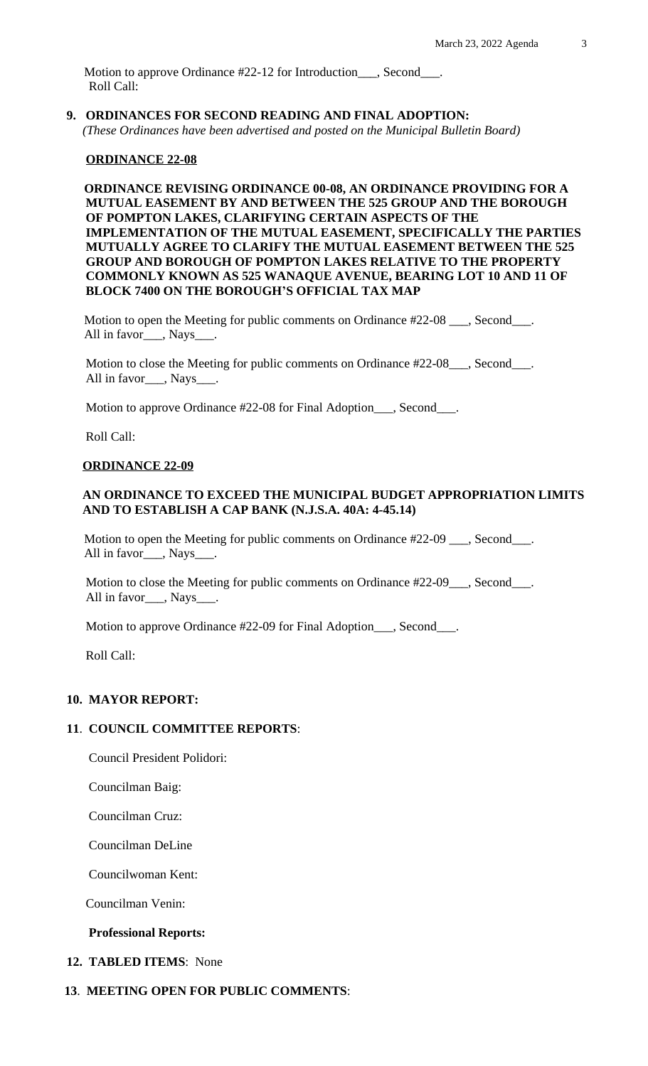Motion to approve Ordinance #22-12 for Introduction\_\_\_, Second\_\_\_. Roll Call:

**9. ORDINANCES FOR SECOND READING AND FINAL ADOPTION:**  *(These Ordinances have been advertised and posted on the Municipal Bulletin Board)*

#### **ORDINANCE 22-08**

 **ORDINANCE REVISING ORDINANCE 00-08, AN ORDINANCE PROVIDING FOR A MUTUAL EASEMENT BY AND BETWEEN THE 525 GROUP AND THE BOROUGH OF POMPTON LAKES, CLARIFYING CERTAIN ASPECTS OF THE IMPLEMENTATION OF THE MUTUAL EASEMENT, SPECIFICALLY THE PARTIES MUTUALLY AGREE TO CLARIFY THE MUTUAL EASEMENT BETWEEN THE 525 GROUP AND BOROUGH OF POMPTON LAKES RELATIVE TO THE PROPERTY COMMONLY KNOWN AS 525 WANAQUE AVENUE, BEARING LOT 10 AND 11 OF BLOCK 7400 ON THE BOROUGH'S OFFICIAL TAX MAP**

Motion to open the Meeting for public comments on Ordinance #22-08 \_\_\_, Second\_\_\_. All in favor\_\_\_, Nays\_\_\_.

Motion to close the Meeting for public comments on Ordinance #22-08\_\_\_, Second\_\_\_. All in favor\_\_\_, Nays\_\_\_.

Motion to approve Ordinance #22-08 for Final Adoption\_\_\_, Second\_\_\_.

Roll Call:

#### **ORDINANCE 22-09**

#### **AN ORDINANCE TO EXCEED THE MUNICIPAL BUDGET APPROPRIATION LIMITS AND TO ESTABLISH A CAP BANK (N.J.S.A. 40A: 4-45.14)**

Motion to open the Meeting for public comments on Ordinance #22-09 \_\_\_, Second\_\_\_. All in favor\_\_\_, Nays\_\_\_.

Motion to close the Meeting for public comments on Ordinance #22-09\_\_\_, Second\_\_\_. All in favor \_\_\_, Nays\_\_\_\_.

Motion to approve Ordinance #22-09 for Final Adoption\_\_\_, Second\_\_\_.

Roll Call:

#### **10. MAYOR REPORT:**

#### **11**. **COUNCIL COMMITTEE REPORTS**:

Council President Polidori:

Councilman Baig:

Councilman Cruz:

Councilman DeLine

Councilwoman Kent:

Councilman Venin:

#### **Professional Reports:**

#### **12. TABLED ITEMS**: None

#### **13**. **MEETING OPEN FOR PUBLIC COMMENTS**: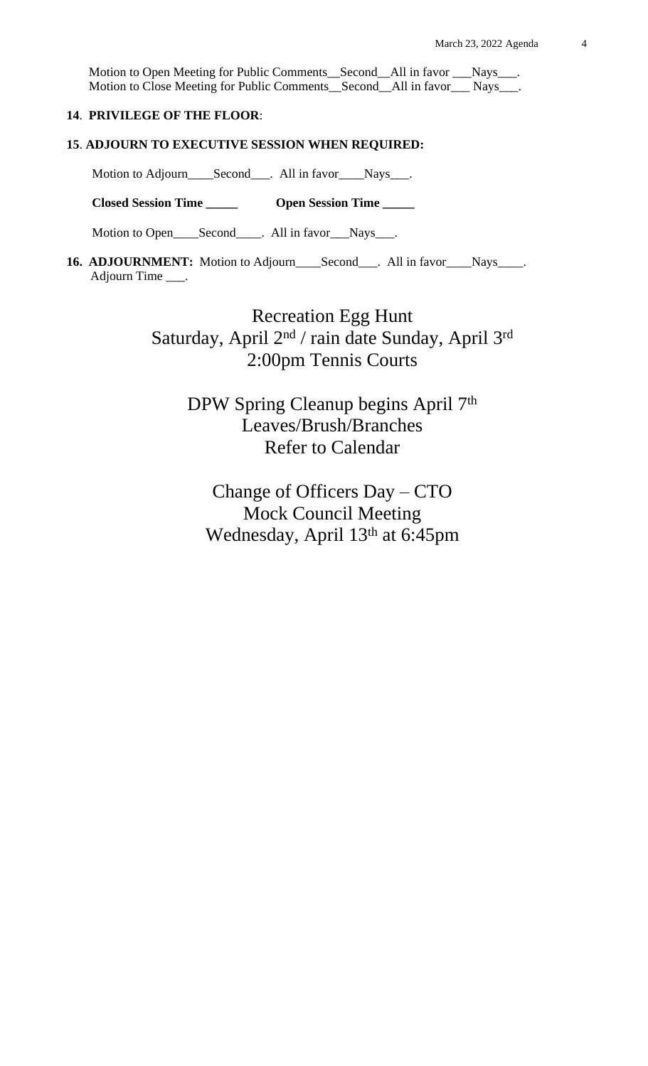Motion to Open Meeting for Public Comments\_\_Second\_\_All in favor \_\_\_Nays\_\_\_. Motion to Close Meeting for Public Comments\_\_Second\_\_All in favor\_\_\_ Nays\_\_\_.

# **14**. **PRIVILEGE OF THE FLOOR**:

#### **15**. **ADJOURN TO EXECUTIVE SESSION WHEN REQUIRED:**

Motion to Adjourn\_\_\_\_Second\_\_\_. All in favor\_\_\_Nays\_\_\_.

 **Closed Session Time \_\_\_\_\_ Open Session Time \_\_\_\_\_**

Motion to Open\_\_\_\_Second\_\_\_\_. All in favor\_\_\_Nays\_\_\_.

16. **ADJOURNMENT:** Motion to Adjourn\_\_\_\_Second\_\_\_. All in favor\_\_\_\_Nays\_\_\_\_. Adjourn Time \_\_\_.

> Recreation Egg Hunt Saturday, April 2<sup>nd</sup> / rain date Sunday, April 3<sup>rd</sup> 2:00pm Tennis Courts

DPW Spring Cleanup begins April 7<sup>th</sup> Leaves/Brush/Branches Refer to Calendar

Change of Officers Day – CTO Mock Council Meeting Wednesday, April 13th at 6:45pm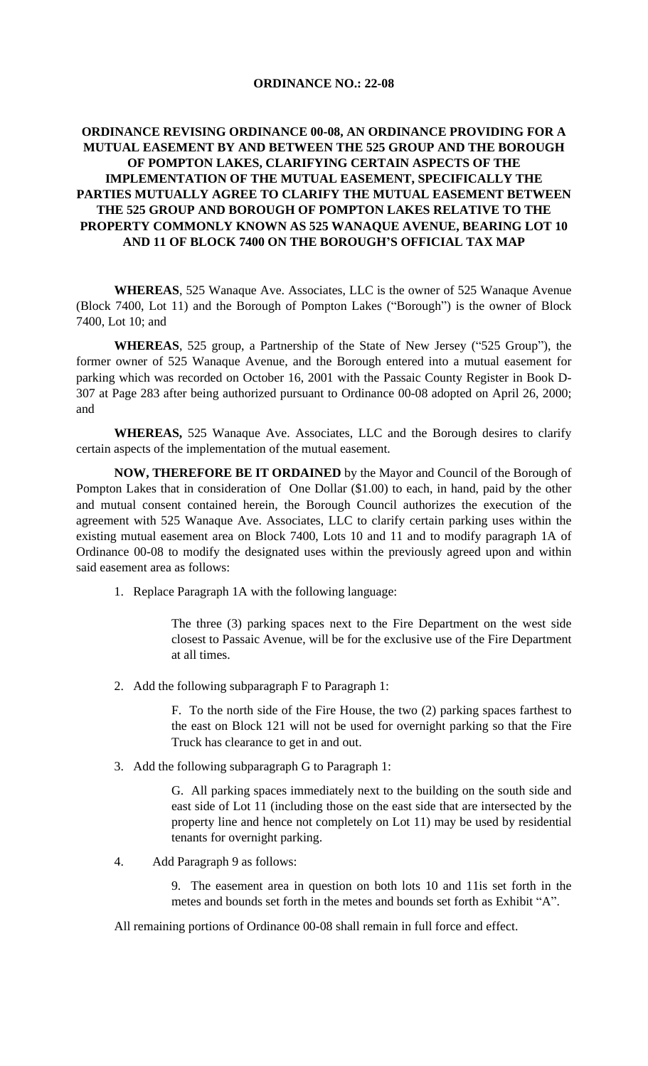#### **ORDINANCE NO.: 22-08**

# **ORDINANCE REVISING ORDINANCE 00-08, AN ORDINANCE PROVIDING FOR A MUTUAL EASEMENT BY AND BETWEEN THE 525 GROUP AND THE BOROUGH OF POMPTON LAKES, CLARIFYING CERTAIN ASPECTS OF THE IMPLEMENTATION OF THE MUTUAL EASEMENT, SPECIFICALLY THE PARTIES MUTUALLY AGREE TO CLARIFY THE MUTUAL EASEMENT BETWEEN THE 525 GROUP AND BOROUGH OF POMPTON LAKES RELATIVE TO THE PROPERTY COMMONLY KNOWN AS 525 WANAQUE AVENUE, BEARING LOT 10 AND 11 OF BLOCK 7400 ON THE BOROUGH'S OFFICIAL TAX MAP**

**WHEREAS**, 525 Wanaque Ave. Associates, LLC is the owner of 525 Wanaque Avenue (Block 7400, Lot 11) and the Borough of Pompton Lakes ("Borough") is the owner of Block 7400, Lot 10; and

**WHEREAS**, 525 group, a Partnership of the State of New Jersey ("525 Group"), the former owner of 525 Wanaque Avenue, and the Borough entered into a mutual easement for parking which was recorded on October 16, 2001 with the Passaic County Register in Book D-307 at Page 283 after being authorized pursuant to Ordinance 00-08 adopted on April 26, 2000; and

**WHEREAS,** 525 Wanaque Ave. Associates, LLC and the Borough desires to clarify certain aspects of the implementation of the mutual easement.

**NOW, THEREFORE BE IT ORDAINED** by the Mayor and Council of the Borough of Pompton Lakes that in consideration of One Dollar (\$1.00) to each, in hand, paid by the other and mutual consent contained herein, the Borough Council authorizes the execution of the agreement with 525 Wanaque Ave. Associates, LLC to clarify certain parking uses within the existing mutual easement area on Block 7400, Lots 10 and 11 and to modify paragraph 1A of Ordinance 00-08 to modify the designated uses within the previously agreed upon and within said easement area as follows:

1. Replace Paragraph 1A with the following language:

The three (3) parking spaces next to the Fire Department on the west side closest to Passaic Avenue, will be for the exclusive use of the Fire Department at all times.

2. Add the following subparagraph F to Paragraph 1:

F. To the north side of the Fire House, the two (2) parking spaces farthest to the east on Block 121 will not be used for overnight parking so that the Fire Truck has clearance to get in and out.

3. Add the following subparagraph G to Paragraph 1:

G. All parking spaces immediately next to the building on the south side and east side of Lot 11 (including those on the east side that are intersected by the property line and hence not completely on Lot 11) may be used by residential tenants for overnight parking.

4. Add Paragraph 9 as follows:

9. The easement area in question on both lots 10 and 11is set forth in the metes and bounds set forth in the metes and bounds set forth as Exhibit "A".

All remaining portions of Ordinance 00-08 shall remain in full force and effect.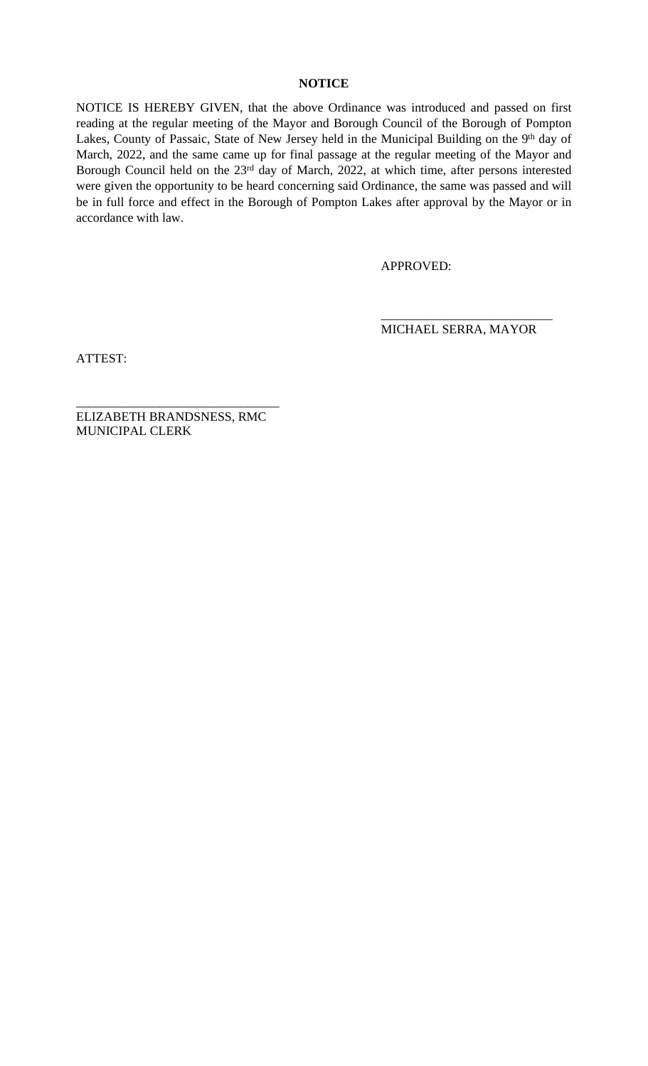# **NOTICE**

NOTICE IS HEREBY GIVEN, that the above Ordinance was introduced and passed on first reading at the regular meeting of the Mayor and Borough Council of the Borough of Pompton Lakes, County of Passaic, State of New Jersey held in the Municipal Building on the 9<sup>th</sup> day of March, 2022, and the same came up for final passage at the regular meeting of the Mayor and Borough Council held on the 23rd day of March, 2022, at which time, after persons interested were given the opportunity to be heard concerning said Ordinance, the same was passed and will be in full force and effect in the Borough of Pompton Lakes after approval by the Mayor or in accordance with law.

APPROVED:

\_\_\_\_\_\_\_\_\_\_\_\_\_\_\_\_\_\_\_\_\_\_\_\_\_\_\_ MICHAEL SERRA, MAYOR

ATTEST:

ELIZABETH BRANDSNESS, RMC MUNICIPAL CLERK

\_\_\_\_\_\_\_\_\_\_\_\_\_\_\_\_\_\_\_\_\_\_\_\_\_\_\_\_\_\_\_\_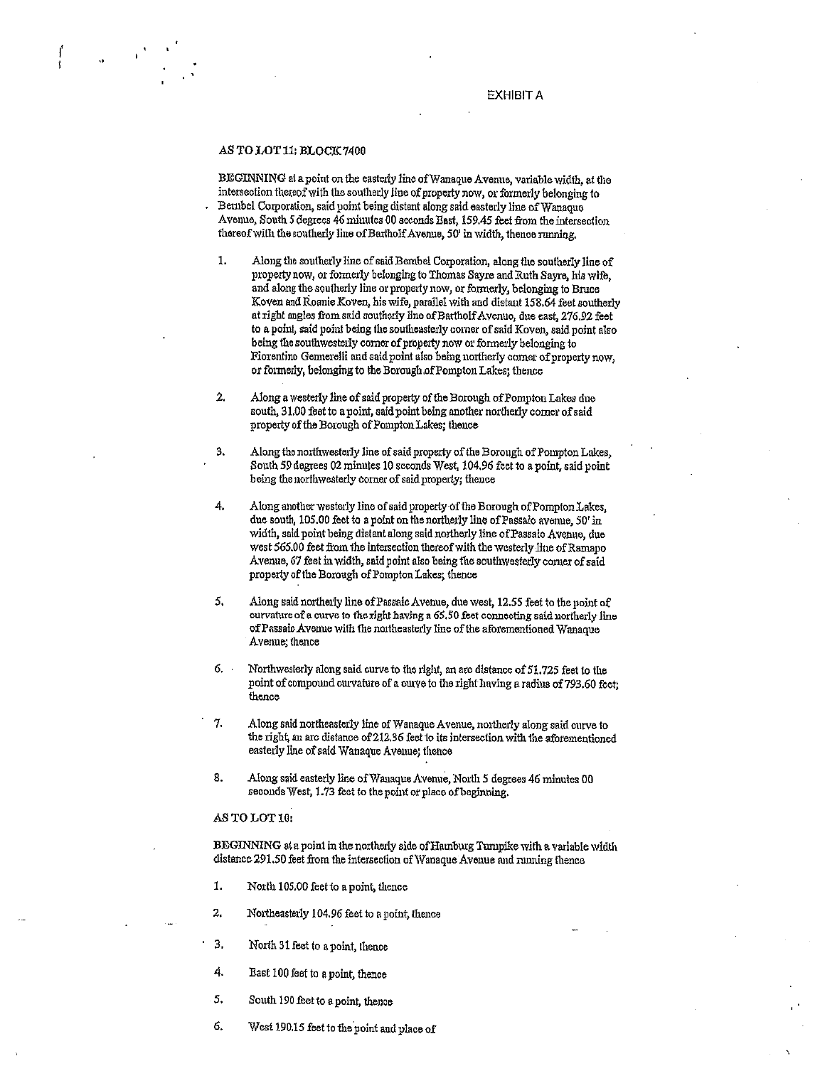#### **EXHIBIT A**

#### AS TO LOT 11: BLOCK 7400

 $\mathcal{A}^{\mathcal{A}}$ 

BEGINNING at a point on the easterly line of Wanaque Avenue, variable width, at the intersection thereof with the southerly line of property now, or formerly belonging to Bernbel Corporation, said point being distant along said easterly line of Wanaque Avenue, South 5 degrees 46 minutes 00 seconds East, 159.45 feet from the intersection thereof with the southerly line of Bartholf Avenue, 50' in width, thence running,

- Along the southerly line of said Bernbel Corporation, along the southerly line of 1. property now, or formerly belonging to Thomas Sayre and Ruth Sayre, his wife, and along the southerly line or property now, or formerly, belonging to Bruce Koven and Roanie Koven, his wife, parallel with and distant 158.64 feet southerly at right angles from said southerly line of Battholf Avenue, due east, 276.92 feet to a point, said point being the southeasterly corner of said Koven, said point also being the southwesterly corner of property now or formerly belonging to Fiorentino Gennerelli and said point also being northerly corner of property now, or formerly, belonging to the Borough of Pompton Lakes; thence
- $2.$ Along a westerly line of said property of the Borough of Pompton Lakes due south, 31.00 feet to a point, said point being another northerly corner of said property of the Borough of Pompton Lakes; thence
- Along the northwesterly line of said property of the Borough of Pompton Lakes, 3. South 59 degrees 02 minutes 10 seconds West, 104.96 feet to a point, said point being the northwesterly corner of said property; thence
- 4, Along another westerly line of said property of the Borough of Pompton Lakes, due south, 105.00 feet to a point on the northerly line of Passaic avenue, 50' in width, said point being distant along said northerly line of Passaio Avenue, due west 565.00 feet from the intersection thereof with the westerly line of Ramapo Avenue, 67 feet in width, said point also being the southwesterly comer of said property of the Borough of Pompton Lakes; thence
- 5, Along said northerly line of Passaic Avenue, due west, 12.55 feet to the point of curvature of a curve to the right having a 65.50 feet connecting said northerly line of Passaic Avenue with the northeasterly line of the aforementioned Wanaque Avenue; thence
- 6. . Northwesterly along said curve to the right, an arc distance of 51.725 feet to the point of compound curvature of a curve to the right having a radius of 793.60 feet; thence
- 7. Along said northeasterly line of Wanaque Avenue, northerly along said curve to the right, an arc distance of 212.36 feet to its intersection with the aforementioned easterly line of said Wanaque Avenue; thence
- 8. Along said easterly line of Wanaque Avenue, North 5 degrees 46 minutes 00 seconds West, 1.73 feet to the point or place of beginning.

#### AS TO LOT 10:

BEGINNING at a point in the northerly side of Hamburg Tumpike with a variable width distance 291.50 feet from the intersection of Wanaque Avenue and running thence

- 1. North 105.00 feet to a point, thence
- 2. Northeasterly 104.96 feet to a point, thence
- $3.$ North 31 feet to a point, thence
- 4. East 100 feet to a point, thence
- 5. South 190 feet to a point, thence
- 6. West 190.15 feet to the point and place of